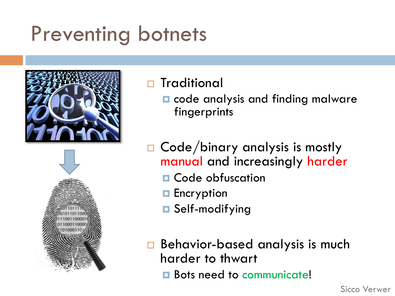### Preventing botnets





#### □ Traditional

- **□** code analysis and finding malware fingerprints
- $\Box$  Code/binary analysis is mostly manual and increasingly harder
	- $\blacksquare$  Code obfuscation
	- **□** Encryption
	- **□** Self-modifying
- $\Box$  Behavior-based analysis is much harder to thwart
	- **E** Bots need to communicate!

Sicco Verwer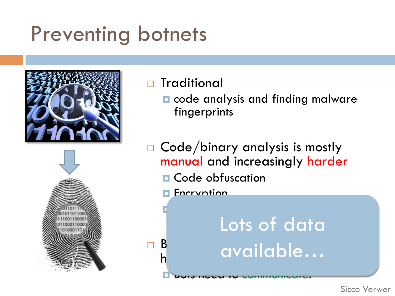### Preventing botnets



#### □ Traditional

- **□** code analysis and finding malware fingerprints
- $\Box$  Code/binary analysis is mostly manual and increasingly harder  $\blacksquare$  Code obfuscation
	- **Encryption**

¤ Self-modifying

¨ Behavior-based analysis is much B available… Lots of data

**E** Bots need to communicate: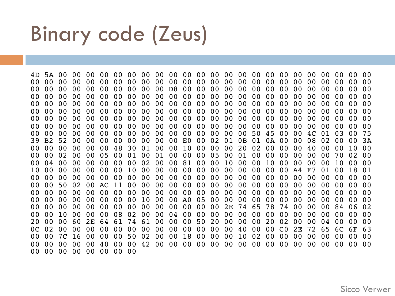#### Binary code (Zeus)

4D 5A 00 00 00 00 00 00 00 00 00 00 00 00 00 00 00 00 00 00 00 00 00 00 00 00 00 00 00 00 00 00 00 00 00 00 00 00 00 00 00 00 00 00 00 00 00 00 00 00 00 00 00 00 00 00 00 00 00 00 D8 00 00 00 00 00 00 00 00 00 00 00 00 00 00 00 00 00 00 00 00 00 00 00 00 00 00 00 00 00 00 00 00 00 00 00 00 00 00 00 00 00 00 00 00 00 00 00 00 00 00 00 00 00 00 00 00 00 00 00 00 00 00 00 00 00 00 00 00 00 00 00 00 00 00 00 00 00 00 00 00 00 00 00 00 00 00 00 00 00 00 00 00 00 00 00 00 00 00 00 00 00 00 00 00 00 00 00 00 00 00 00 00 00 00 00 00 00 00 00 00 00 00 00 00 00 00 00 00 00 00 00 00 00 00 00 00 00 00 00 00 00 00 00 00 00 00 00 00 00 00 00 00 00 00 00 50 45 00 00 4C 01 03 00 75 39 B2 52 00 00 00 00 00 00 00 00 E0 00 02 01 0B 01 0A 00 00 08 02 00 00 3A 00 00 00 00 00 00 48 30 01 00 00 10 00 00 00 20 02 00 00 00 40 00 00 10 00 00 00 02 00 00 05 00 01 00 01 00 00 00 05 00 01 00 00 00 00 00 00 70 02 00 00 04 00 00 00 00 00 00 02 00 00 81 00 00 10 00 00 10 00 00 00 00 10 00 00 10 00 00 00 00 00 00 10 00 00 00 00 00 00 00 00 00 00 00 A4 F7 01 00 18 01 00 00 00 00 00 00 00 00 00 00 00 00 00 00 00 00 00 00 00 00 00 00 00 00 00 00 00 50 02 00 AC 11 00 00 00 00 00 00 00 00 00 00 00 00 00 00 00 00 00 00 00 00 00 00 00 00 00 00 00 00 00 00 00 00 00 00 00 00 00 00 00 00 00 00 00 00 00 00 00 00 00 00 00 10 00 00 A0 05 00 00 00 00 00 00 00 00 00 00 00 00 00 00 00 00 00 00 00 00 00 00 00 00 00 00 2E 74 65 78 74 00 00 00 84 06 02 00 00 10 00 00 00 08 02 00 00 04 00 00 00 00 00 00 00 00 00 00 00 00 00 00 20 00 00 60 2E 64 61 74 61 00 00 00 50 20 00 00 00 20 02 00 00 04 00 00 00 0C 02 00 00 00 00 00 00 00 00 00 00 00 00 00 40 00 00 C0 2E 72 65 6C 6F 63 00 00 7C 16 00 00 00 50 02 00 00 18 00 00 00 10 02 00 00 00 00 00 00 00 00 00 00 00 00 00 40 00 00 42 00 00 00 00 00 00 00 00 00 00 00 00 00 00 00 00 00 00 00 00 00 00 00 00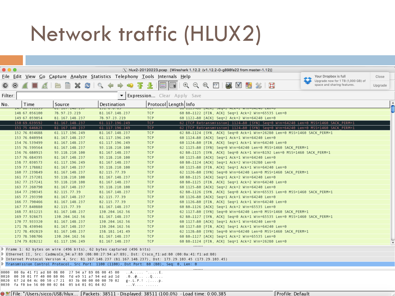# Network traffic (HLUX2)

| $\bullet\bullet\bullet$<br>[X] hlux2-20120223.pcap [Wireshark 1.12.2 (v1.12.2-0-g898fa22 from master-1.12)] |         |                                |                                                                                                        |                                  |                                 |                                                                                                            |                                                                                                                                                                                                                                                                                                                                                                                                                                                                                                                                     |                                                                                                                        |                                                                                  |         |  |
|-------------------------------------------------------------------------------------------------------------|---------|--------------------------------|--------------------------------------------------------------------------------------------------------|----------------------------------|---------------------------------|------------------------------------------------------------------------------------------------------------|-------------------------------------------------------------------------------------------------------------------------------------------------------------------------------------------------------------------------------------------------------------------------------------------------------------------------------------------------------------------------------------------------------------------------------------------------------------------------------------------------------------------------------------|------------------------------------------------------------------------------------------------------------------------|----------------------------------------------------------------------------------|---------|--|
|                                                                                                             |         |                                | File Edit View Go Capture Analyze Statistics Telephony Tools Internals Help                            |                                  |                                 |                                                                                                            |                                                                                                                                                                                                                                                                                                                                                                                                                                                                                                                                     |                                                                                                                        | Your Dropbox is full                                                             | Close   |  |
| ◉                                                                                                           | $\odot$ |                                | ĵ                                                                                                      | $\clubsuit$                      |                                 | <u>e</u>                                                                                                   | $\mathfrak{D} \subset \mathfrak{D} \subset \mathfrak{D} \subset \mathfrak{D} \subset \mathfrak{D} \subset \mathfrak{D} \subset \mathfrak{D} \subset \mathfrak{D} \subset \mathfrak{D} \subset \mathfrak{D} \subset \mathfrak{D} \subset \mathfrak{D} \subset \mathfrak{D} \subset \mathfrak{D} \subset \mathfrak{D} \subset \mathfrak{D} \subset \mathfrak{D} \subset \mathfrak{D} \subset \mathfrak{D} \subset \mathfrak{D} \subset \mathfrak{D} \subset \mathfrak{D} \subset \mathfrak{D} \subset \mathfrak{D} \subset \mathfrak$ | $\Box$                                                                                                                 | Upgrade now for 1 TB (1,000 GB) of<br>space and sharing features.                | Upgrade |  |
| Filter:                                                                                                     |         |                                |                                                                                                        | $\blacktriangledown$             |                                 | <b>Expression</b> Clear Apply Save                                                                         |                                                                                                                                                                                                                                                                                                                                                                                                                                                                                                                                     |                                                                                                                        |                                                                                  |         |  |
| No.                                                                                                         |         | Time                           | Source                                                                                                 | Destination                      |                                 | Protocoll Length Info                                                                                      |                                                                                                                                                                                                                                                                                                                                                                                                                                                                                                                                     |                                                                                                                        |                                                                                  |         |  |
|                                                                                                             |         | 148 67.056100                  | 0.1.107<br>78.97.23.219                                                                                | <del>.</del><br>81.167.148.237   | <b>TCP</b>                      |                                                                                                            | סאבצא−חווא בראשת ברשבי (אשתן סט⊢נבבב"סנ                                                                                                                                                                                                                                                                                                                                                                                                                                                                                             | 60 80-1122 [FIN, ACK] Seq=1 Ack=2 Win=65535 Len=0                                                                      |                                                                                  |         |  |
|                                                                                                             |         | 149 67.059054                  | 81.167.148.237                                                                                         | 78.97.23.219                     | <b>TCP</b>                      |                                                                                                            |                                                                                                                                                                                                                                                                                                                                                                                                                                                                                                                                     | 60 1122-80 [ACK] Seq=2 Ack=2 Win=64240 Len=0                                                                           |                                                                                  |         |  |
|                                                                                                             |         | 150 69.639592                  | 81.167.148.237                                                                                         | 61.117.196.249                   | <b>TCP</b>                      |                                                                                                            |                                                                                                                                                                                                                                                                                                                                                                                                                                                                                                                                     |                                                                                                                        | 62 [TCP Retransmission] 1124-80 [SYN] Seq=0 Win=64240 Len=0 MSS=1460 SACK PERM=1 |         |  |
|                                                                                                             |         | 151 75.646825                  | 81.167.148.237                                                                                         | 61.117.196.249                   | <b>TCP</b>                      |                                                                                                            |                                                                                                                                                                                                                                                                                                                                                                                                                                                                                                                                     |                                                                                                                        | 62 [TCP Retransmission] 1124-80 [SYN] Seq=0 Win=64240 Len=0 MSS=1460 SACK PERM=1 |         |  |
|                                                                                                             |         | 152 76.034688<br>153 76.040994 | 61.117.196.249<br>81.167.148.237                                                                       | 81.167.148.237<br>61.117.196.249 | <b>TCP</b><br>TCP               |                                                                                                            |                                                                                                                                                                                                                                                                                                                                                                                                                                                                                                                                     | 62 80→1124 [SYN, ACK] Seq=0 Ack=1 Win=26280 Len=0 MSS=1460 SACK PERM=1<br>60 1124-80 [ACK] Seq=1 Ack=1 Win=64240 Len=0 |                                                                                  |         |  |
|                                                                                                             |         | 154 76.539499                  | 81.167.148.237                                                                                         | 61.117.196.249                   | <b>TCP</b>                      |                                                                                                            |                                                                                                                                                                                                                                                                                                                                                                                                                                                                                                                                     | 60 1124-80 [FIN, ACK] Seq=1 Ack=1 Win=64240 Len=0                                                                      |                                                                                  |         |  |
|                                                                                                             |         | 155 76.599564                  | 81.167.148.237                                                                                         | 93.118.210.100                   | <b>TCP</b>                      |                                                                                                            |                                                                                                                                                                                                                                                                                                                                                                                                                                                                                                                                     | 62 1125-80 [SYN] Seq=0 Win=64240 Len=0 MSS=1460 SACK PERM=1                                                            |                                                                                  |         |  |
|                                                                                                             |         | 156 76.680915                  | 93.118.210.100                                                                                         | 81.167.148.237                   | <b>TCP</b>                      |                                                                                                            |                                                                                                                                                                                                                                                                                                                                                                                                                                                                                                                                     | 62 80-1125 [SYN, ACK] Seq=0 Ack=1 Win=8192 Len=0 MSS=1460 SACK PERM=1                                                  |                                                                                  |         |  |
|                                                                                                             |         | 157 76.684395                  | 81.167.148.237                                                                                         | 93.118.210.100                   | <b>TCP</b>                      |                                                                                                            |                                                                                                                                                                                                                                                                                                                                                                                                                                                                                                                                     | 60 1125-80 [ACK] Seq=1 Ack=1 Win=64240 Len=0                                                                           |                                                                                  |         |  |
|                                                                                                             |         | 158 77.030573                  | 61.117.196.249<br>81.167.148.237                                                                       | 81.167.148.237                   | <b>TCP</b><br><b>TCP</b>        |                                                                                                            |                                                                                                                                                                                                                                                                                                                                                                                                                                                                                                                                     | 60 80-1124 [ACK] Seq=1 Ack=2 Win=26280 Len=0                                                                           |                                                                                  |         |  |
|                                                                                                             |         | 159 77.178882<br>160 77.239849 | 81.167.148.237                                                                                         | 93.118.210.100<br>82.115.77.39   | <b>TCP</b>                      |                                                                                                            |                                                                                                                                                                                                                                                                                                                                                                                                                                                                                                                                     | 60 1125-80 [FIN, ACK] Seq=1 Ack=1 Win=64240 Len=0<br>62 1126-80 [SYN] Seq=0 Win=64240 Len=0 MSS=1460 SACK PERM=1       |                                                                                  |         |  |
|                                                                                                             |         | 161 77.257201                  | 93.118.210.100                                                                                         | 81.167.148.237                   | <b>TCP</b>                      |                                                                                                            |                                                                                                                                                                                                                                                                                                                                                                                                                                                                                                                                     | 60 80-1125 [ACK] Seq=1 Ack=2 Win=64240 Len=0                                                                           |                                                                                  |         |  |
|                                                                                                             |         | 162 77.257241                  | 93.118.210.100                                                                                         | 81.167.148.237                   | <b>TCP</b>                      |                                                                                                            |                                                                                                                                                                                                                                                                                                                                                                                                                                                                                                                                     | 60 80-1125 [FIN, ACK] Seq=1 Ack=2 Win=64240 Len=0                                                                      |                                                                                  |         |  |
|                                                                                                             |         | 163 77.260790                  | 81.167.148.237                                                                                         | 93.118.210.100                   | <b>TCP</b>                      |                                                                                                            |                                                                                                                                                                                                                                                                                                                                                                                                                                                                                                                                     | 60 1125-80 [ACK] Seq=2 Ack=2 Win=64240 Len=0                                                                           |                                                                                  |         |  |
|                                                                                                             |         | 164 77.290345                  | 82.115.77.39                                                                                           | 81.167.148.237                   | <b>TCP</b>                      |                                                                                                            |                                                                                                                                                                                                                                                                                                                                                                                                                                                                                                                                     | 62 80-1126 [SYN, ACK] Seq=0 Ack=1 Win=65535 Len=0 MSS=1460 SACK PERM=1                                                 |                                                                                  |         |  |
|                                                                                                             |         | 165 77.293390<br>166 77.790466 | 81.167.148.237<br>81.167.148.237                                                                       | 82.115.77.39<br>82.115.77.39     | <b>TCP</b><br><b>TCP</b>        |                                                                                                            |                                                                                                                                                                                                                                                                                                                                                                                                                                                                                                                                     | 60 1126-80 [ACK] Seq=1 Ack=1 Win=64240 Len=0<br>60 1126-80 [FIN, ACK] Seq=1 Ack=1 Win=64240 Len=0                      |                                                                                  |         |  |
|                                                                                                             |         | 167 77.840880                  | 82.115.77.39                                                                                           | 81.167.148.237                   | <b>TCP</b>                      |                                                                                                            |                                                                                                                                                                                                                                                                                                                                                                                                                                                                                                                                     | 60 80-1126 [ACK] Seq=1 Ack=2 Win=65535 Len=0                                                                           |                                                                                  |         |  |
|                                                                                                             |         | 168 77.851215                  | 81.167.148.237                                                                                         | 130.204.162.56                   | <b>TCP</b>                      |                                                                                                            |                                                                                                                                                                                                                                                                                                                                                                                                                                                                                                                                     | 62 1127-80 [SYN] Seq=0 Win=64240 Len=0 MSS=1460 SACK PERM=1                                                            |                                                                                  |         |  |
|                                                                                                             |         | 169 77.928675                  | 130.204.162.56                                                                                         | 81.167.148.237                   | <b>TCP</b>                      |                                                                                                            |                                                                                                                                                                                                                                                                                                                                                                                                                                                                                                                                     | 62 80-1127 [SYN, ACK] Seq=0 Ack=1 Win=65535 Len=0 MSS=1460 SACK PERM=1                                                 |                                                                                  |         |  |
|                                                                                                             |         | 170 77.933320                  | 81.167.148.237                                                                                         | 130.204.162.56                   | <b>TCP</b>                      |                                                                                                            |                                                                                                                                                                                                                                                                                                                                                                                                                                                                                                                                     | 60 1127-80 [ACK] Seq=1 Ack=1 Win=64240 Len=0                                                                           |                                                                                  |         |  |
|                                                                                                             |         | 171 78.430946                  | 81.167.148.237                                                                                         | 130.204.162.56                   | <b>TCP</b>                      |                                                                                                            |                                                                                                                                                                                                                                                                                                                                                                                                                                                                                                                                     | 60 1127-80 [FIN, ACK] Seq=1 Ack=1 Win=64240 Len=0                                                                      |                                                                                  |         |  |
|                                                                                                             |         | 172 78.492819                  | 81.167.148.237                                                                                         | 158.181.141.49                   | <b>TCP</b>                      |                                                                                                            |                                                                                                                                                                                                                                                                                                                                                                                                                                                                                                                                     | 62 1128-80 [SYN] Seq=0 Win=64240 Len=0 MSS=1460 SACK_PERM=1                                                            |                                                                                  |         |  |
|                                                                                                             |         | 173 78.508706<br>174 79.028212 | 130.204.162.56<br>61.117.196.249                                                                       | 81.167.148.237<br>81.167.148.237 | <b>TCP</b><br><b>TCP</b>        |                                                                                                            |                                                                                                                                                                                                                                                                                                                                                                                                                                                                                                                                     | 60 80-1127 [ACK] Seq=1 Ack=2 Win=65535 Len=0<br>60 80-1124 [FIN, ACK] Seq=1 Ack=2 Win=26280 Len=0                      |                                                                                  |         |  |
|                                                                                                             |         |                                |                                                                                                        |                                  |                                 | *******                                                                                                    |                                                                                                                                                                                                                                                                                                                                                                                                                                                                                                                                     |                                                                                                                        |                                                                                  |         |  |
|                                                                                                             |         |                                | $\triangleright$ Frame 1: 62 bytes on wire (496 bits), 62 bytes captured (496 bits)                    |                                  |                                 | D Ethernet II, Src: CadmusCo 94:a7:89 (08:00:27:94:a7:89), Dst: Cisco f1:ad:80 (00:0a:41:f1:ad:80)         |                                                                                                                                                                                                                                                                                                                                                                                                                                                                                                                                     |                                                                                                                        |                                                                                  |         |  |
|                                                                                                             |         |                                |                                                                                                        |                                  |                                 | 15.103.29 (173.29.103.45) 10. Internet Protocol Version Version 4, St. 21.167.148.237), Dst: 173.29.103.45 |                                                                                                                                                                                                                                                                                                                                                                                                                                                                                                                                     |                                                                                                                        |                                                                                  |         |  |
|                                                                                                             |         |                                | D Transmission Control Protocol, Src Port: 1100 (1100), Dst Port: 80 (80), Seq: 0, Len: 0              |                                  |                                 |                                                                                                            |                                                                                                                                                                                                                                                                                                                                                                                                                                                                                                                                     |                                                                                                                        |                                                                                  |         |  |
|                                                                                                             |         |                                | 0000 00 0a 41 f1 ad 80 08 00 27 94 a7 89 08 00 45 00                                                   |                                  | . . A. <sup>. .</sup> E.        |                                                                                                            |                                                                                                                                                                                                                                                                                                                                                                                                                                                                                                                                     |                                                                                                                        |                                                                                  |         |  |
|                                                                                                             |         |                                | 0010 00 30 01 ff 40 00 80 06 fd e9 51 a7 94 ed ad 1d                                                   |                                  |                                 |                                                                                                            |                                                                                                                                                                                                                                                                                                                                                                                                                                                                                                                                     |                                                                                                                        |                                                                                  |         |  |
|                                                                                                             |         |                                | 0020 67 2d 04 4c 00 50 c7 21 03 3b 00 00 00 00 70 02<br>0030 fa f0 be 56 00 00 02 04 05 b4 01 01 04 02 |                                  | $g - . L . P . ! . ; p.$<br>. V |                                                                                                            |                                                                                                                                                                                                                                                                                                                                                                                                                                                                                                                                     |                                                                                                                        |                                                                                  |         |  |
|                                                                                                             |         |                                |                                                                                                        |                                  |                                 |                                                                                                            |                                                                                                                                                                                                                                                                                                                                                                                                                                                                                                                                     |                                                                                                                        |                                                                                  |         |  |
|                                                                                                             |         |                                | ● M File: "/Users/sicco/USB/hlux                                                                       |                                  |                                 | Packets: 38511 Displayed: 38511 (100.0%) Load time: 0.00.385                                               |                                                                                                                                                                                                                                                                                                                                                                                                                                                                                                                                     |                                                                                                                        | Profile: Default                                                                 |         |  |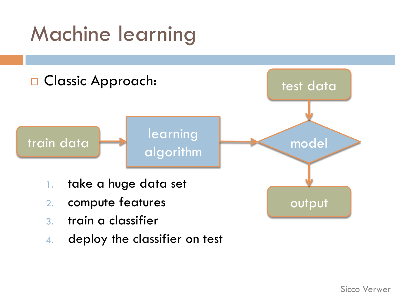# Machine learning



4. deploy the classifier on test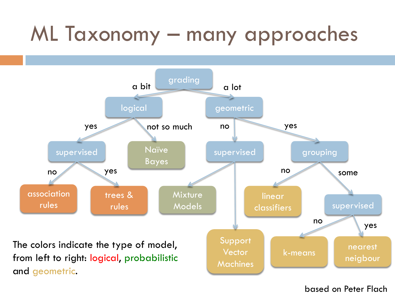# ML Taxonomy – many approaches



#### based on Peter Flach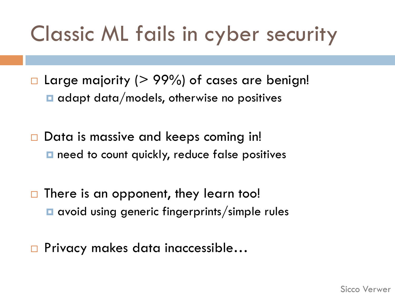## Classic ML fails in cyber security

 $\Box$  Large majority (> 99%) of cases are benign!  $\blacksquare$  adapt data/models, otherwise no positives

 $\Box$  Data is massive and keeps coming in! **□** need to count quickly, reduce false positives

 $\Box$  There is an opponent, they learn too! **□** avoid using generic fingerprints/simple rules

□ Privacy makes data inaccessible...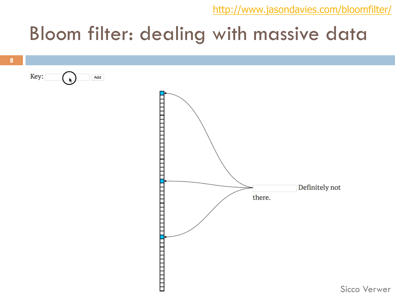http://www.jasondavies.com/bloomfilter/

#### Bloom filter: dealing with massive data

Key: Add